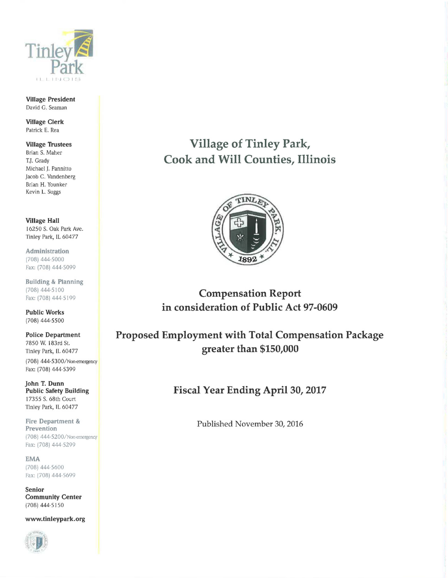

**Village President**  David G. Seaman

**Village Clerk**  Patrick E. Rea

## **Village Trustees**  Brian S. Maher T.J. Grady

Michael J. Pannitto Jacob C. Vandenberg Brian H. Younker Kevin L. Suggs

**Village Hall**  16250 S. Oak Park Ave. Tinley Park, IL 60477

**Administration**  (708) 444-5000 Fax: (708) 444-5099

**Building & Planning**  (708) 444-5100 Fax: (708) 444-5199

**Public Works**  (708) 444-5500

**Police Department**  7850 W. 183rd St. Tinley Park, IL 60477 (708) 444-5300/Non-emergency

Fax: (708) 444-5399

**John T. Dunn Public Safety Building**  17355 S. 68th Court Tinley Park, IL 60477

**Fire Department** & **Prevention**  (708) 444-5200/Non-emergency Fax: (708) 444-5299

**EMA**  (708) 444-5600 Fax: (708) 444-5699

**Senior Community Center**  (708) 444-5150

**www.tinleypark.org** 



## **Village of Tinley Park, Cook and Will Counties, Illinois**



**Compensation Report in consideration of Public Act 97-0609** 

**Proposed Employment with Total Compensation Package greater than \$150,000** 

**Fiscal Year Ending April 30, 2017** 

Published November 30, 2016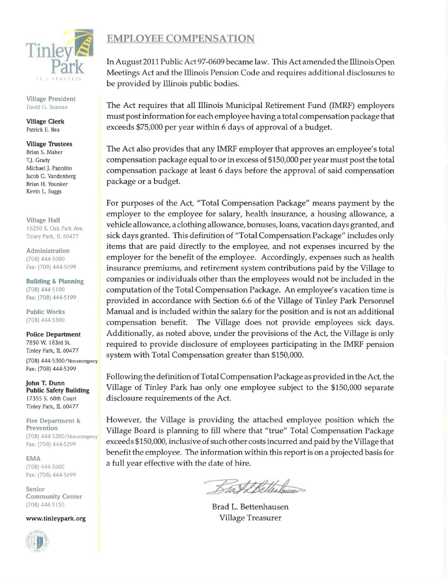

Village President David G. Seaman

Village Clerk Patrick E. Rea

Village Trustees Brian S. Maher T.J. Grady Michael J. Pannitto Jacob C. Vandenberg Brian H. Younker Kevin L. Suggs

Village Hall 16250 S. Oak Park Ave. Tinley Park, IL 60477

Administration (708) 444-5000 Fax: (708) 444-5099

Building & Planning (708) 444-5100 Fax: (708) 444-51 99

Public Works (708) 444-5500

Police Department 7850 W. 183rd St. Tinley Park, IL 60477 (708) 444-5300/Non-emergency Fax: (708) 444-5399

John T. Dunn Public Safety Building 17355 S. 68th Court Tinley Park, IL 60477

Fire Department & Prevention (708) 444-5200/Non-emergency Fax: (708) 444-5299

EMA (708) 444-5600 Fax: (708) 444-5699

Senior Community Center (708) 444-5150

www.tinleypark.org



## EMPLOYEE COMPENSATION

In August 2011 Public Act 97-0609 became law. This Act amended the Illinois Open Meetings Act and the Illinois Pension Code and requires additional disclosures to be provided by Illinois public bodies.

The Act requires that all Illinois Municipal Retirement Fund (IMRF) employers must post information for each employee having a total compensation package that exceeds \$75,000 per year within 6 days of approval of a budget.

The Act also provides that any IMRF employer that approves an employee's total compensation package equal to or in excess of \$150,000 per year must post the total compensation package at least 6 days before the approval of said compensation package or a budget.

For purposes of the Act, "Total Compensation Package" means payment by the employer to the employee for salary, health insurance, a housing allowance, a vehicle allowance, a clothing allowance, bonuses, loans, vacation days granted, and sick days granted. This definition of "Total Compensation Package" includes only items that are paid directly to the employee, and not expenses incurred by the employer for the benefit of the employee. Accordingly, expenses such as health insurance premiums, and retirement system contributions paid by the Village to companies or individuals other than the employees would not be included in the computation of the Total Compensation Package. An employee's vacation time is provided in accordance with Section 6.6 of the Village of Tinley Park Personnel Manual and is included within the salary for the position and is not an additional compensation benefit. The Village does not provide employees sick days. Additionally, as noted above, under the provisions of the Act, the Village is only required to provide disclosure of employees participating in the IMRF pension system with Total Compensation greater than \$150,000.

Following the definition of Total Compensation Package as provided in the Act, the Village of Tinley Park has only one employee subject to the \$150,000 separate disclosure requirements of the Act.

However, the Village is providing the attached employee position which the Village Board is planning to fill where that "true" Total Compensation Package exceeds \$150,000, inclusive of such other costs incurred and paid by the Village that benefit the employee. The information within this report is on a projected basis for a full year effective with the date of hire.

Beat Betterhouser

Brad L. Bettenhausen Village Treasurer